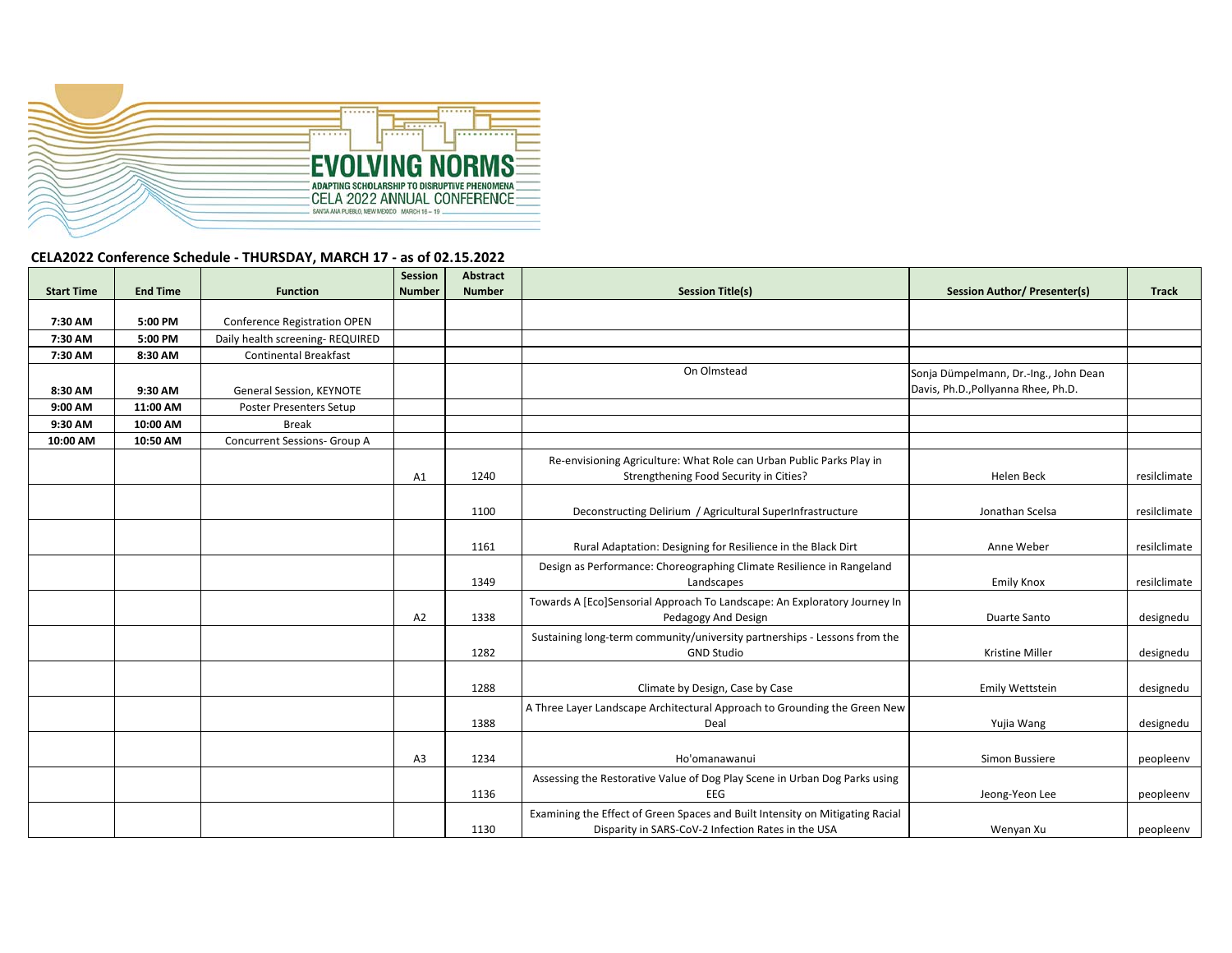

## **CELA2022 Conference Schedule ‐ THURSDAY, MARCH 17 ‐ as of 02.15.2022**

|                   |                 |                                     | Session        | Abstract      |                                                                                                                                     |                                       |              |
|-------------------|-----------------|-------------------------------------|----------------|---------------|-------------------------------------------------------------------------------------------------------------------------------------|---------------------------------------|--------------|
| <b>Start Time</b> | <b>End Time</b> | <b>Function</b>                     | <b>Number</b>  | <b>Number</b> | <b>Session Title(s)</b>                                                                                                             | <b>Session Author/ Presenter(s)</b>   | <b>Track</b> |
|                   |                 |                                     |                |               |                                                                                                                                     |                                       |              |
| 7:30 AM           | 5:00 PM         | <b>Conference Registration OPEN</b> |                |               |                                                                                                                                     |                                       |              |
| 7:30 AM           | 5:00 PM         | Daily health screening-REQUIRED     |                |               |                                                                                                                                     |                                       |              |
| 7:30 AM           | 8:30 AM         | <b>Continental Breakfast</b>        |                |               |                                                                                                                                     |                                       |              |
|                   |                 |                                     |                |               | On Olmstead                                                                                                                         | Sonja Dümpelmann, Dr.-Ing., John Dean |              |
| 8:30 AM           | 9:30 AM         | General Session, KEYNOTE            |                |               |                                                                                                                                     | Davis, Ph.D., Pollyanna Rhee, Ph.D.   |              |
| 9:00 AM           | 11:00 AM        | <b>Poster Presenters Setup</b>      |                |               |                                                                                                                                     |                                       |              |
| 9:30 AM           | 10:00 AM        | <b>Break</b>                        |                |               |                                                                                                                                     |                                       |              |
| 10:00 AM          | 10:50 AM        | Concurrent Sessions- Group A        |                |               |                                                                                                                                     |                                       |              |
|                   |                 |                                     |                |               | Re-envisioning Agriculture: What Role can Urban Public Parks Play in                                                                |                                       |              |
|                   |                 |                                     | A1             | 1240          | Strengthening Food Security in Cities?                                                                                              | Helen Beck                            | resilclimate |
|                   |                 |                                     |                |               |                                                                                                                                     |                                       |              |
|                   |                 |                                     |                | 1100          | Deconstructing Delirium / Agricultural SuperInfrastructure                                                                          | Jonathan Scelsa                       | resilclimate |
|                   |                 |                                     |                |               |                                                                                                                                     |                                       |              |
|                   |                 |                                     |                | 1161          | Rural Adaptation: Designing for Resilience in the Black Dirt                                                                        | Anne Weber                            | resilclimate |
|                   |                 |                                     |                |               |                                                                                                                                     |                                       |              |
|                   |                 |                                     |                |               | Design as Performance: Choreographing Climate Resilience in Rangeland                                                               |                                       |              |
|                   |                 |                                     |                | 1349          | Landscapes                                                                                                                          | <b>Emily Knox</b>                     | resilclimate |
|                   |                 |                                     |                |               | Towards A [Eco]Sensorial Approach To Landscape: An Exploratory Journey In                                                           |                                       |              |
|                   |                 |                                     | A <sub>2</sub> | 1338          | Pedagogy And Design                                                                                                                 | Duarte Santo                          | designedu    |
|                   |                 |                                     |                |               | Sustaining long-term community/university partnerships - Lessons from the                                                           |                                       |              |
|                   |                 |                                     |                | 1282          | <b>GND Studio</b>                                                                                                                   | Kristine Miller                       | designedu    |
|                   |                 |                                     |                |               |                                                                                                                                     |                                       |              |
|                   |                 |                                     |                | 1288          | Climate by Design, Case by Case                                                                                                     | Emily Wettstein                       | designedu    |
|                   |                 |                                     |                |               | A Three Layer Landscape Architectural Approach to Grounding the Green New                                                           |                                       |              |
|                   |                 |                                     |                | 1388          | Deal                                                                                                                                | Yujia Wang                            | designedu    |
|                   |                 |                                     |                |               |                                                                                                                                     |                                       |              |
|                   |                 |                                     | A3             | 1234          | Ho'omanawanui                                                                                                                       | Simon Bussiere                        | peopleenv    |
|                   |                 |                                     |                |               | Assessing the Restorative Value of Dog Play Scene in Urban Dog Parks using                                                          |                                       |              |
|                   |                 |                                     |                | 1136          | <b>EEG</b>                                                                                                                          | Jeong-Yeon Lee                        | peopleenv    |
|                   |                 |                                     |                |               |                                                                                                                                     |                                       |              |
|                   |                 |                                     |                | 1130          | Examining the Effect of Green Spaces and Built Intensity on Mitigating Racial<br>Disparity in SARS-CoV-2 Infection Rates in the USA | Wenyan Xu                             | peopleenv    |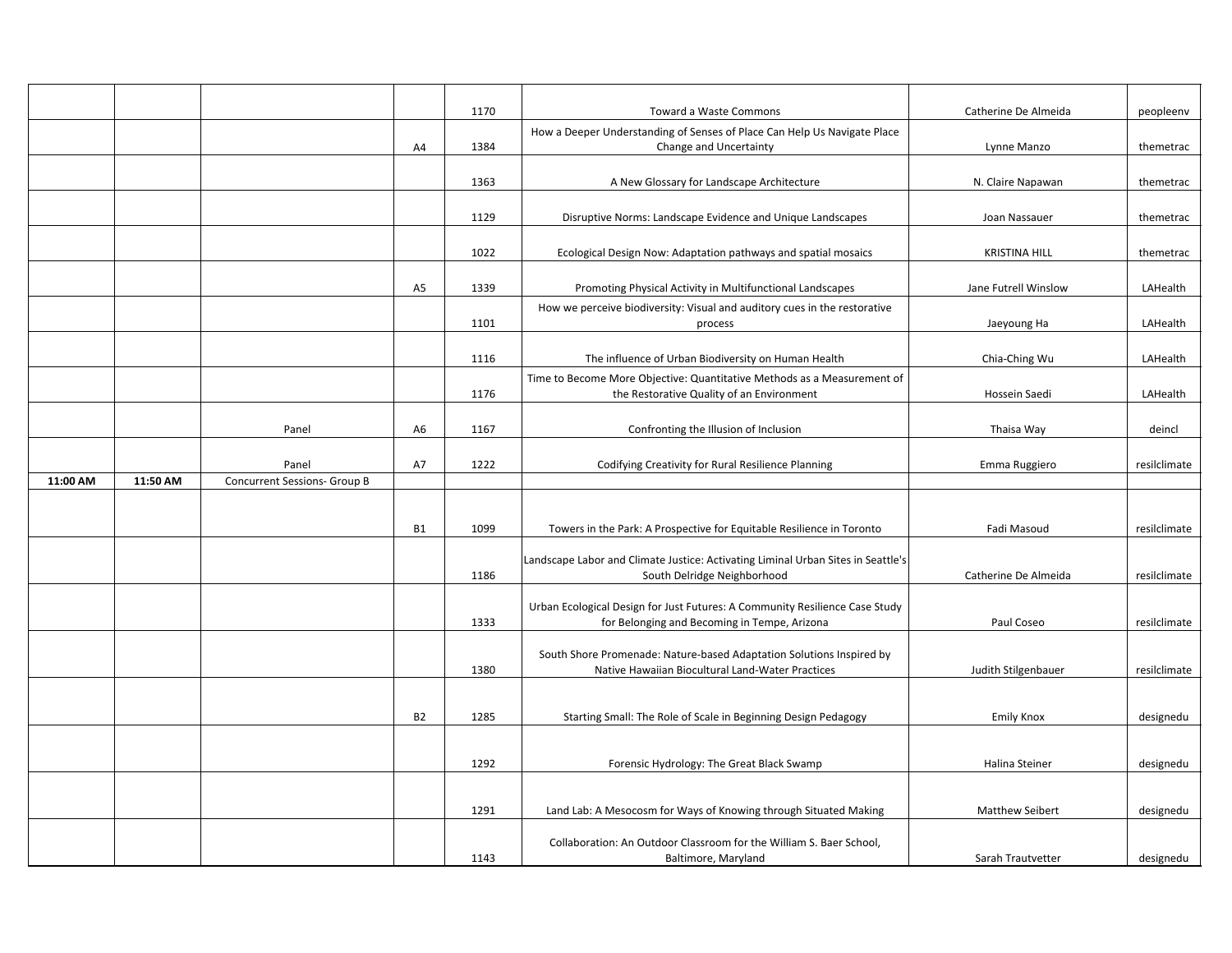|          |          |                              |                | 1170 | Toward a Waste Commons                                                                                                   | Catherine De Almeida   | peopleenv    |
|----------|----------|------------------------------|----------------|------|--------------------------------------------------------------------------------------------------------------------------|------------------------|--------------|
|          |          |                              | A4             | 1384 | How a Deeper Understanding of Senses of Place Can Help Us Navigate Place<br>Change and Uncertainty                       | Lynne Manzo            | themetrac    |
|          |          |                              |                |      |                                                                                                                          |                        |              |
|          |          |                              |                | 1363 | A New Glossary for Landscape Architecture                                                                                | N. Claire Napawan      | themetrac    |
|          |          |                              |                | 1129 | Disruptive Norms: Landscape Evidence and Unique Landscapes                                                               | Joan Nassauer          | themetrac    |
|          |          |                              |                |      |                                                                                                                          |                        |              |
|          |          |                              |                | 1022 | Ecological Design Now: Adaptation pathways and spatial mosaics                                                           | <b>KRISTINA HILL</b>   | themetrac    |
|          |          |                              | A <sub>5</sub> | 1339 |                                                                                                                          | Jane Futrell Winslow   | LAHealth     |
|          |          |                              |                |      | Promoting Physical Activity in Multifunctional Landscapes                                                                |                        |              |
|          |          |                              |                | 1101 | How we perceive biodiversity: Visual and auditory cues in the restorative<br>process                                     | Jaeyoung Ha            | LAHealth     |
|          |          |                              |                | 1116 | The influence of Urban Biodiversity on Human Health                                                                      | Chia-Ching Wu          | LAHealth     |
|          |          |                              |                |      | Time to Become More Objective: Quantitative Methods as a Measurement of                                                  |                        |              |
|          |          |                              |                | 1176 | the Restorative Quality of an Environment                                                                                | Hossein Saedi          | LAHealth     |
|          |          |                              |                |      |                                                                                                                          |                        |              |
|          |          | Panel                        | A <sub>6</sub> | 1167 | Confronting the Illusion of Inclusion                                                                                    | Thaisa Way             | deincl       |
|          |          |                              |                |      |                                                                                                                          |                        |              |
|          |          | Panel                        | A7             | 1222 | Codifying Creativity for Rural Resilience Planning                                                                       | Emma Ruggiero          | resilclimate |
| 11:00 AM | 11:50 AM | Concurrent Sessions- Group B |                |      |                                                                                                                          |                        |              |
|          |          |                              |                |      |                                                                                                                          |                        |              |
|          |          |                              | <b>B1</b>      | 1099 | Towers in the Park: A Prospective for Equitable Resilience in Toronto                                                    | Fadi Masoud            | resilclimate |
|          |          |                              |                |      |                                                                                                                          |                        |              |
|          |          |                              |                |      | Landscape Labor and Climate Justice: Activating Liminal Urban Sites in Seattle's                                         |                        |              |
|          |          |                              |                | 1186 | South Delridge Neighborhood                                                                                              | Catherine De Almeida   | resilclimate |
|          |          |                              |                |      | Urban Ecological Design for Just Futures: A Community Resilience Case Study                                              |                        |              |
|          |          |                              |                | 1333 | for Belonging and Becoming in Tempe, Arizona                                                                             | Paul Coseo             | resilclimate |
|          |          |                              |                |      |                                                                                                                          |                        |              |
|          |          |                              |                | 1380 | South Shore Promenade: Nature-based Adaptation Solutions Inspired by<br>Native Hawaiian Biocultural Land-Water Practices | Judith Stilgenbauer    | resilclimate |
|          |          |                              |                |      |                                                                                                                          |                        |              |
|          |          |                              |                |      |                                                                                                                          |                        |              |
|          |          |                              | <b>B2</b>      | 1285 | Starting Small: The Role of Scale in Beginning Design Pedagogy                                                           | <b>Emily Knox</b>      | designedu    |
|          |          |                              |                |      |                                                                                                                          |                        |              |
|          |          |                              |                | 1292 | Forensic Hydrology: The Great Black Swamp                                                                                | Halina Steiner         | designedu    |
|          |          |                              |                |      |                                                                                                                          |                        |              |
|          |          |                              |                |      |                                                                                                                          |                        |              |
|          |          |                              |                | 1291 | Land Lab: A Mesocosm for Ways of Knowing through Situated Making                                                         | <b>Matthew Seibert</b> | designedu    |
|          |          |                              |                |      | Collaboration: An Outdoor Classroom for the William S. Baer School,                                                      |                        |              |
|          |          |                              |                | 1143 | Baltimore, Maryland                                                                                                      | Sarah Trautvetter      | designedu    |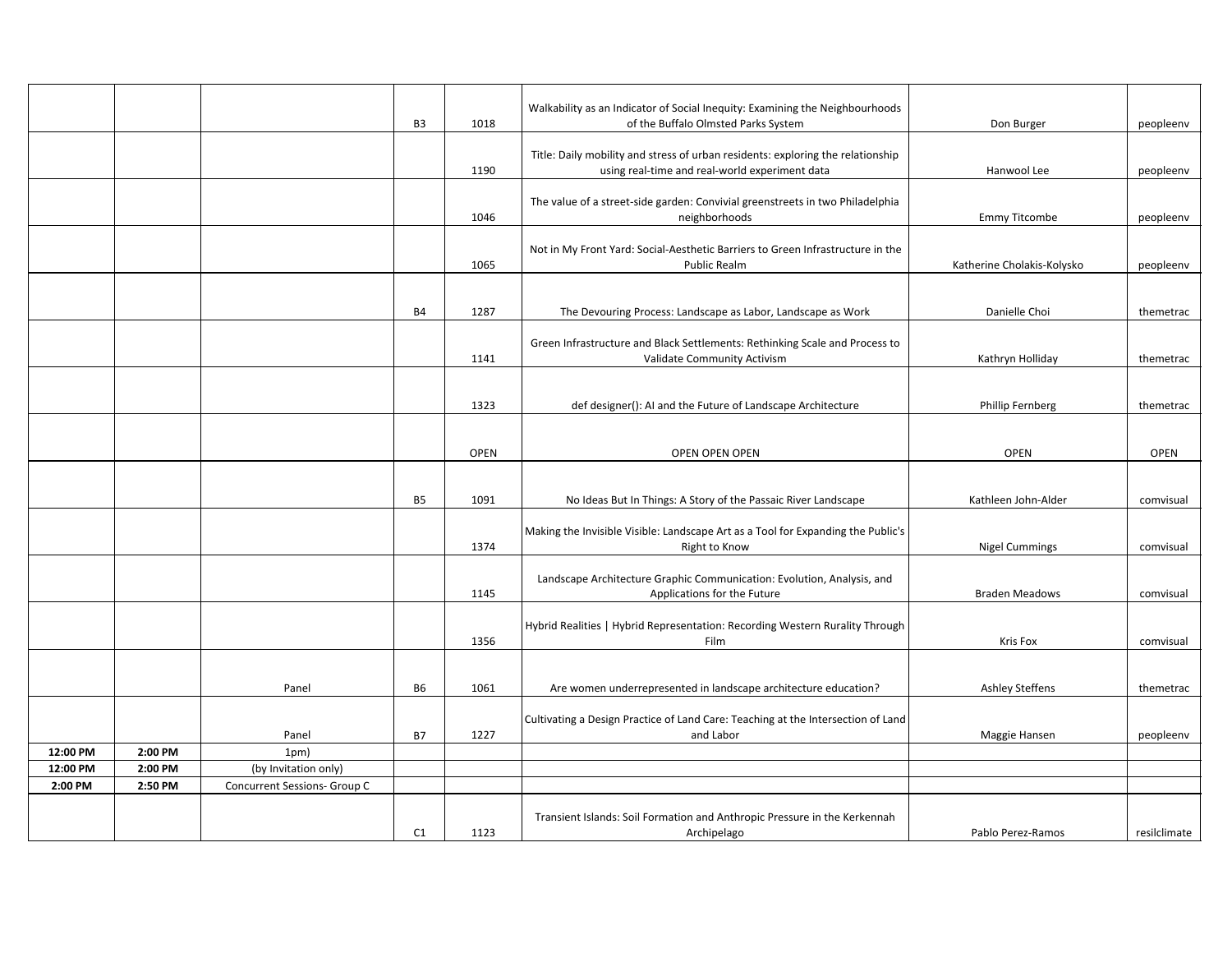|                     |                    |                                                      | B <sub>3</sub> | 1018        | Walkability as an Indicator of Social Inequity: Examining the Neighbourhoods<br>of the Buffalo Olmsted Parks System | Don Burger                 | peopleenv    |
|---------------------|--------------------|------------------------------------------------------|----------------|-------------|---------------------------------------------------------------------------------------------------------------------|----------------------------|--------------|
|                     |                    |                                                      |                |             |                                                                                                                     |                            |              |
|                     |                    |                                                      |                |             | Title: Daily mobility and stress of urban residents: exploring the relationship                                     |                            |              |
|                     |                    |                                                      |                | 1190        | using real-time and real-world experiment data                                                                      | Hanwool Lee                | peopleenv    |
|                     |                    |                                                      |                |             | The value of a street-side garden: Convivial greenstreets in two Philadelphia                                       |                            |              |
|                     |                    |                                                      |                | 1046        | neighborhoods                                                                                                       | <b>Emmy Titcombe</b>       | peopleenv    |
|                     |                    |                                                      |                |             |                                                                                                                     |                            |              |
|                     |                    |                                                      |                |             | Not in My Front Yard: Social-Aesthetic Barriers to Green Infrastructure in the                                      |                            |              |
|                     |                    |                                                      |                | 1065        | <b>Public Realm</b>                                                                                                 | Katherine Cholakis-Kolysko | peopleenv    |
|                     |                    |                                                      |                |             |                                                                                                                     |                            |              |
|                     |                    |                                                      | <b>B4</b>      | 1287        | The Devouring Process: Landscape as Labor, Landscape as Work                                                        | Danielle Choi              | themetrac    |
|                     |                    |                                                      |                |             |                                                                                                                     |                            |              |
|                     |                    |                                                      |                | 1141        | Green Infrastructure and Black Settlements: Rethinking Scale and Process to<br>Validate Community Activism          | Kathryn Holliday           |              |
|                     |                    |                                                      |                |             |                                                                                                                     |                            | themetrac    |
|                     |                    |                                                      |                |             |                                                                                                                     |                            |              |
|                     |                    |                                                      |                | 1323        | def designer(): AI and the Future of Landscape Architecture                                                         | <b>Phillip Fernberg</b>    | themetrac    |
|                     |                    |                                                      |                |             |                                                                                                                     |                            |              |
|                     |                    |                                                      |                | <b>OPEN</b> | OPEN OPEN OPEN                                                                                                      | <b>OPEN</b>                | <b>OPEN</b>  |
|                     |                    |                                                      |                |             |                                                                                                                     |                            |              |
|                     |                    |                                                      |                |             |                                                                                                                     |                            |              |
|                     |                    |                                                      | <b>B5</b>      | 1091        | No Ideas But In Things: A Story of the Passaic River Landscape                                                      | Kathleen John-Alder        | comvisual    |
|                     |                    |                                                      |                |             | Making the Invisible Visible: Landscape Art as a Tool for Expanding the Public's                                    |                            |              |
|                     |                    |                                                      |                | 1374        | Right to Know                                                                                                       | <b>Nigel Cummings</b>      | comvisual    |
|                     |                    |                                                      |                |             |                                                                                                                     |                            |              |
|                     |                    |                                                      |                |             | Landscape Architecture Graphic Communication: Evolution, Analysis, and                                              |                            |              |
|                     |                    |                                                      |                | 1145        | Applications for the Future                                                                                         | <b>Braden Meadows</b>      | comvisual    |
|                     |                    |                                                      |                |             | Hybrid Realities   Hybrid Representation: Recording Western Rurality Through                                        |                            |              |
|                     |                    |                                                      |                | 1356        | Film                                                                                                                | <b>Kris Fox</b>            | comvisual    |
|                     |                    |                                                      |                |             |                                                                                                                     |                            |              |
|                     |                    | Panel                                                | <b>B6</b>      | 1061        | Are women underrepresented in landscape architecture education?                                                     | <b>Ashley Steffens</b>     | themetrac    |
|                     |                    |                                                      |                |             |                                                                                                                     |                            |              |
|                     |                    |                                                      |                |             | Cultivating a Design Practice of Land Care: Teaching at the Intersection of Land                                    |                            |              |
|                     |                    | Panel                                                | <b>B7</b>      | 1227        | and Labor                                                                                                           | Maggie Hansen              | peopleenv    |
| 12:00 PM            | 2:00 PM            | 1pm)                                                 |                |             |                                                                                                                     |                            |              |
| 12:00 PM<br>2:00 PM | 2:00 PM<br>2:50 PM | (by Invitation only)<br>Concurrent Sessions- Group C |                |             |                                                                                                                     |                            |              |
|                     |                    |                                                      |                |             |                                                                                                                     |                            |              |
|                     |                    |                                                      |                |             | Transient Islands: Soil Formation and Anthropic Pressure in the Kerkennah                                           |                            |              |
|                     |                    |                                                      | C1             | 1123        | Archipelago                                                                                                         | Pablo Perez-Ramos          | resilclimate |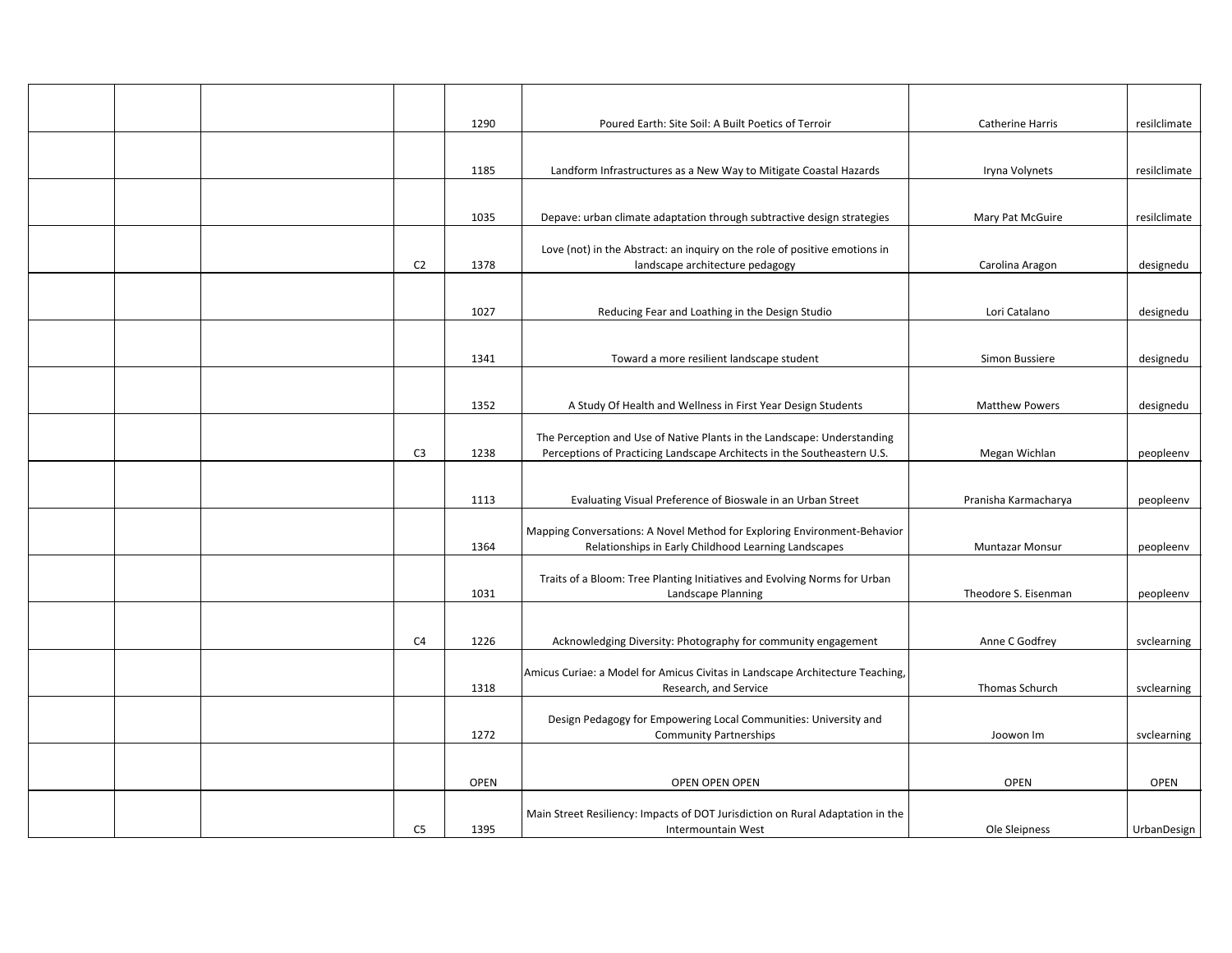|  |                | 1290        | Poured Earth: Site Soil: A Built Poetics of Terroir                                                  | Catherine Harris       | resilclimate |
|--|----------------|-------------|------------------------------------------------------------------------------------------------------|------------------------|--------------|
|  |                |             |                                                                                                      |                        |              |
|  |                | 1185        | Landform Infrastructures as a New Way to Mitigate Coastal Hazards                                    | Iryna Volynets         | resilclimate |
|  |                |             |                                                                                                      |                        |              |
|  |                | 1035        | Depave: urban climate adaptation through subtractive design strategies                               | Mary Pat McGuire       | resilclimate |
|  |                |             | Love (not) in the Abstract: an inquiry on the role of positive emotions in                           |                        |              |
|  | C <sub>2</sub> | 1378        | landscape architecture pedagogy                                                                      | Carolina Aragon        | designedu    |
|  |                |             |                                                                                                      |                        |              |
|  |                | 1027        | Reducing Fear and Loathing in the Design Studio                                                      | Lori Catalano          | designedu    |
|  |                |             |                                                                                                      |                        |              |
|  |                | 1341        | Toward a more resilient landscape student                                                            | Simon Bussiere         | designedu    |
|  |                |             |                                                                                                      |                        |              |
|  |                | 1352        | A Study Of Health and Wellness in First Year Design Students                                         | <b>Matthew Powers</b>  | designedu    |
|  |                |             | The Perception and Use of Native Plants in the Landscape: Understanding                              |                        |              |
|  | C <sub>3</sub> | 1238        | Perceptions of Practicing Landscape Architects in the Southeastern U.S.                              | Megan Wichlan          | peopleenv    |
|  |                |             |                                                                                                      |                        |              |
|  |                | 1113        | Evaluating Visual Preference of Bioswale in an Urban Street                                          | Pranisha Karmacharya   | peopleenv    |
|  |                |             | Mapping Conversations: A Novel Method for Exploring Environment-Behavior                             |                        |              |
|  |                | 1364        | Relationships in Early Childhood Learning Landscapes                                                 | <b>Muntazar Monsur</b> | peopleenv    |
|  |                |             | Traits of a Bloom: Tree Planting Initiatives and Evolving Norms for Urban                            |                        |              |
|  |                | 1031        | Landscape Planning                                                                                   | Theodore S. Eisenman   | peopleenv    |
|  |                |             |                                                                                                      |                        |              |
|  | C <sub>4</sub> | 1226        | Acknowledging Diversity: Photography for community engagement                                        | Anne C Godfrey         | svclearning  |
|  |                |             | Amicus Curiae: a Model for Amicus Civitas in Landscape Architecture Teaching,                        |                        |              |
|  |                | 1318        | Research, and Service                                                                                | Thomas Schurch         | svclearning  |
|  |                |             | Design Pedagogy for Empowering Local Communities: University and                                     |                        |              |
|  |                | 1272        | <b>Community Partnerships</b>                                                                        | Joowon Im              | svclearning  |
|  |                |             |                                                                                                      |                        |              |
|  |                | <b>OPEN</b> | OPEN OPEN OPEN                                                                                       | <b>OPEN</b>            | <b>OPEN</b>  |
|  |                |             |                                                                                                      |                        |              |
|  | C <sub>5</sub> | 1395        | Main Street Resiliency: Impacts of DOT Jurisdiction on Rural Adaptation in the<br>Intermountain West | Ole Sleipness          | UrbanDesign  |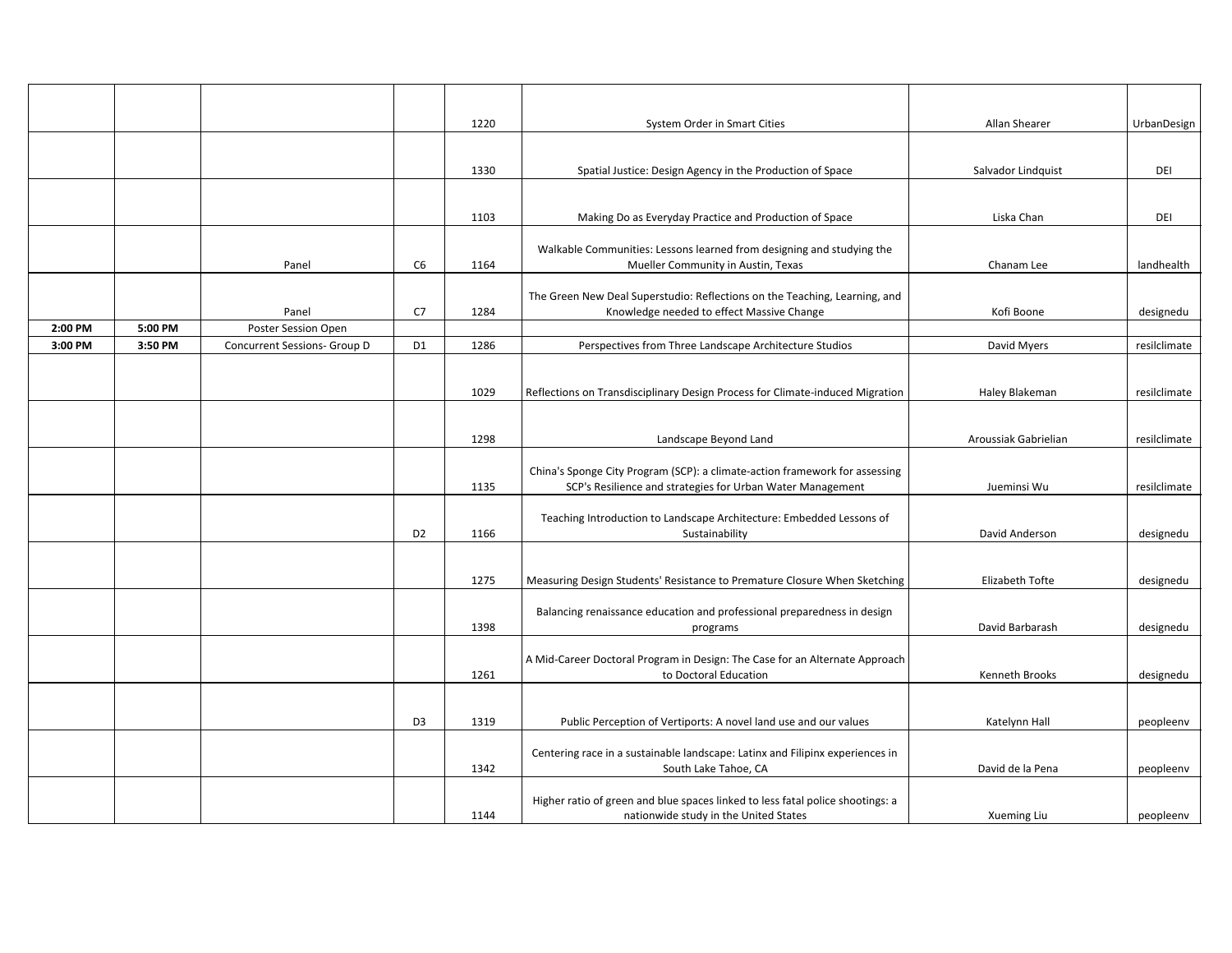|         |         |                              |                | 1220 | System Order in Smart Cities                                                                                                              | Allan Shearer        | UrbanDesign  |
|---------|---------|------------------------------|----------------|------|-------------------------------------------------------------------------------------------------------------------------------------------|----------------------|--------------|
|         |         |                              |                |      |                                                                                                                                           |                      |              |
|         |         |                              |                | 1330 | Spatial Justice: Design Agency in the Production of Space                                                                                 | Salvador Lindquist   | DEI          |
|         |         |                              |                |      |                                                                                                                                           |                      |              |
|         |         |                              |                | 1103 | Making Do as Everyday Practice and Production of Space                                                                                    | Liska Chan           | DEI          |
|         |         | Panel                        | C <sub>6</sub> | 1164 | Walkable Communities: Lessons learned from designing and studying the<br>Mueller Community in Austin, Texas                               | Chanam Lee           | landhealth   |
|         |         | Panel                        | C7             | 1284 | The Green New Deal Superstudio: Reflections on the Teaching, Learning, and<br>Knowledge needed to effect Massive Change                   | Kofi Boone           | designedu    |
| 2:00 PM | 5:00 PM | Poster Session Open          |                |      |                                                                                                                                           |                      |              |
| 3:00 PM | 3:50 PM | Concurrent Sessions- Group D | D <sub>1</sub> | 1286 | Perspectives from Three Landscape Architecture Studios                                                                                    | David Myers          | resilclimate |
|         |         |                              |                | 1029 | Reflections on Transdisciplinary Design Process for Climate-induced Migration                                                             | Haley Blakeman       | resilclimate |
|         |         |                              |                | 1298 | Landscape Beyond Land                                                                                                                     | Aroussiak Gabrielian | resilclimate |
|         |         |                              |                | 1135 | China's Sponge City Program (SCP): a climate-action framework for assessing<br>SCP's Resilience and strategies for Urban Water Management | Jueminsi Wu          | resilclimate |
|         |         |                              | D <sub>2</sub> | 1166 | Teaching Introduction to Landscape Architecture: Embedded Lessons of<br>Sustainability                                                    | David Anderson       | designedu    |
|         |         |                              |                | 1275 | Measuring Design Students' Resistance to Premature Closure When Sketching                                                                 | Elizabeth Tofte      | designedu    |
|         |         |                              |                | 1398 | Balancing renaissance education and professional preparedness in design<br>programs                                                       | David Barbarash      | designedu    |
|         |         |                              |                | 1261 | A Mid-Career Doctoral Program in Design: The Case for an Alternate Approach<br>to Doctoral Education                                      | Kenneth Brooks       | designedu    |
|         |         |                              | D <sub>3</sub> | 1319 | Public Perception of Vertiports: A novel land use and our values                                                                          | Katelynn Hall        | peopleenv    |
|         |         |                              |                | 1342 | Centering race in a sustainable landscape: Latinx and Filipinx experiences in<br>South Lake Tahoe, CA                                     | David de la Pena     | peopleenv    |
|         |         |                              |                | 1144 | Higher ratio of green and blue spaces linked to less fatal police shootings: a<br>nationwide study in the United States                   | Xueming Liu          | peopleenv    |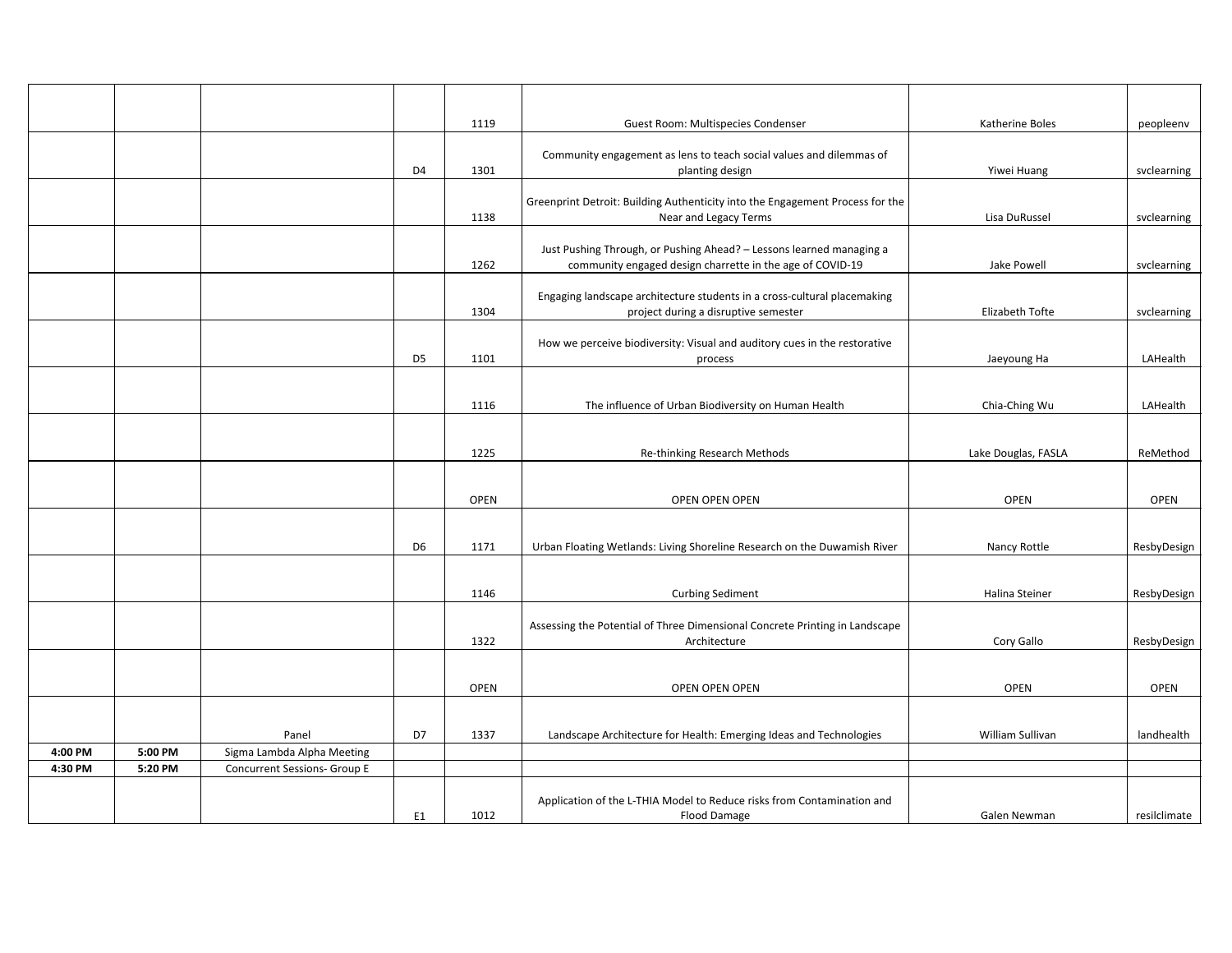|         |         |                              |                | 1119        | Guest Room: Multispecies Condenser                                                          | Katherine Boles     | peopleenv    |
|---------|---------|------------------------------|----------------|-------------|---------------------------------------------------------------------------------------------|---------------------|--------------|
|         |         |                              |                |             |                                                                                             |                     |              |
|         |         |                              | D <sub>4</sub> | 1301        | Community engagement as lens to teach social values and dilemmas of<br>planting design      | Yiwei Huang         | svclearning  |
|         |         |                              |                |             |                                                                                             |                     |              |
|         |         |                              |                |             | Greenprint Detroit: Building Authenticity into the Engagement Process for the               |                     |              |
|         |         |                              |                | 1138        | Near and Legacy Terms                                                                       | Lisa DuRussel       | svclearning  |
|         |         |                              |                |             | Just Pushing Through, or Pushing Ahead? - Lessons learned managing a                        |                     |              |
|         |         |                              |                | 1262        | community engaged design charrette in the age of COVID-19                                   | Jake Powell         | svclearning  |
|         |         |                              |                |             | Engaging landscape architecture students in a cross-cultural placemaking                    |                     |              |
|         |         |                              |                | 1304        | project during a disruptive semester                                                        | Elizabeth Tofte     | svclearning  |
|         |         |                              |                |             | How we perceive biodiversity: Visual and auditory cues in the restorative                   |                     |              |
|         |         |                              | D <sub>5</sub> | 1101        | process                                                                                     | Jaeyoung Ha         | LAHealth     |
|         |         |                              |                |             |                                                                                             |                     |              |
|         |         |                              |                | 1116        | The influence of Urban Biodiversity on Human Health                                         | Chia-Ching Wu       | LAHealth     |
|         |         |                              |                |             |                                                                                             |                     |              |
|         |         |                              |                | 1225        |                                                                                             |                     |              |
|         |         |                              |                |             | Re-thinking Research Methods                                                                | Lake Douglas, FASLA | ReMethod     |
|         |         |                              |                |             |                                                                                             |                     |              |
|         |         |                              |                | <b>OPEN</b> | OPEN OPEN OPEN                                                                              | <b>OPEN</b>         | <b>OPEN</b>  |
|         |         |                              |                |             |                                                                                             |                     |              |
|         |         |                              | D <sub>6</sub> | 1171        | Urban Floating Wetlands: Living Shoreline Research on the Duwamish River                    | Nancy Rottle        | ResbyDesign  |
|         |         |                              |                |             |                                                                                             |                     |              |
|         |         |                              |                | 1146        | <b>Curbing Sediment</b>                                                                     | Halina Steiner      | ResbyDesign  |
|         |         |                              |                |             |                                                                                             |                     |              |
|         |         |                              |                | 1322        | Assessing the Potential of Three Dimensional Concrete Printing in Landscape<br>Architecture | Cory Gallo          | ResbyDesign  |
|         |         |                              |                |             |                                                                                             |                     |              |
|         |         |                              |                | <b>OPEN</b> |                                                                                             | <b>OPEN</b>         |              |
|         |         |                              |                |             | OPEN OPEN OPEN                                                                              |                     | <b>OPEN</b>  |
|         |         |                              |                |             |                                                                                             |                     |              |
|         |         | Panel                        | D7             | 1337        | Landscape Architecture for Health: Emerging Ideas and Technologies                          | William Sullivan    | landhealth   |
| 4:00 PM | 5:00 PM | Sigma Lambda Alpha Meeting   |                |             |                                                                                             |                     |              |
| 4:30 PM | 5:20 PM | Concurrent Sessions- Group E |                |             |                                                                                             |                     |              |
|         |         |                              |                |             | Application of the L-THIA Model to Reduce risks from Contamination and                      |                     |              |
|         |         |                              | E <sub>1</sub> | 1012        | <b>Flood Damage</b>                                                                         | Galen Newman        | resilclimate |
|         |         |                              |                |             |                                                                                             |                     |              |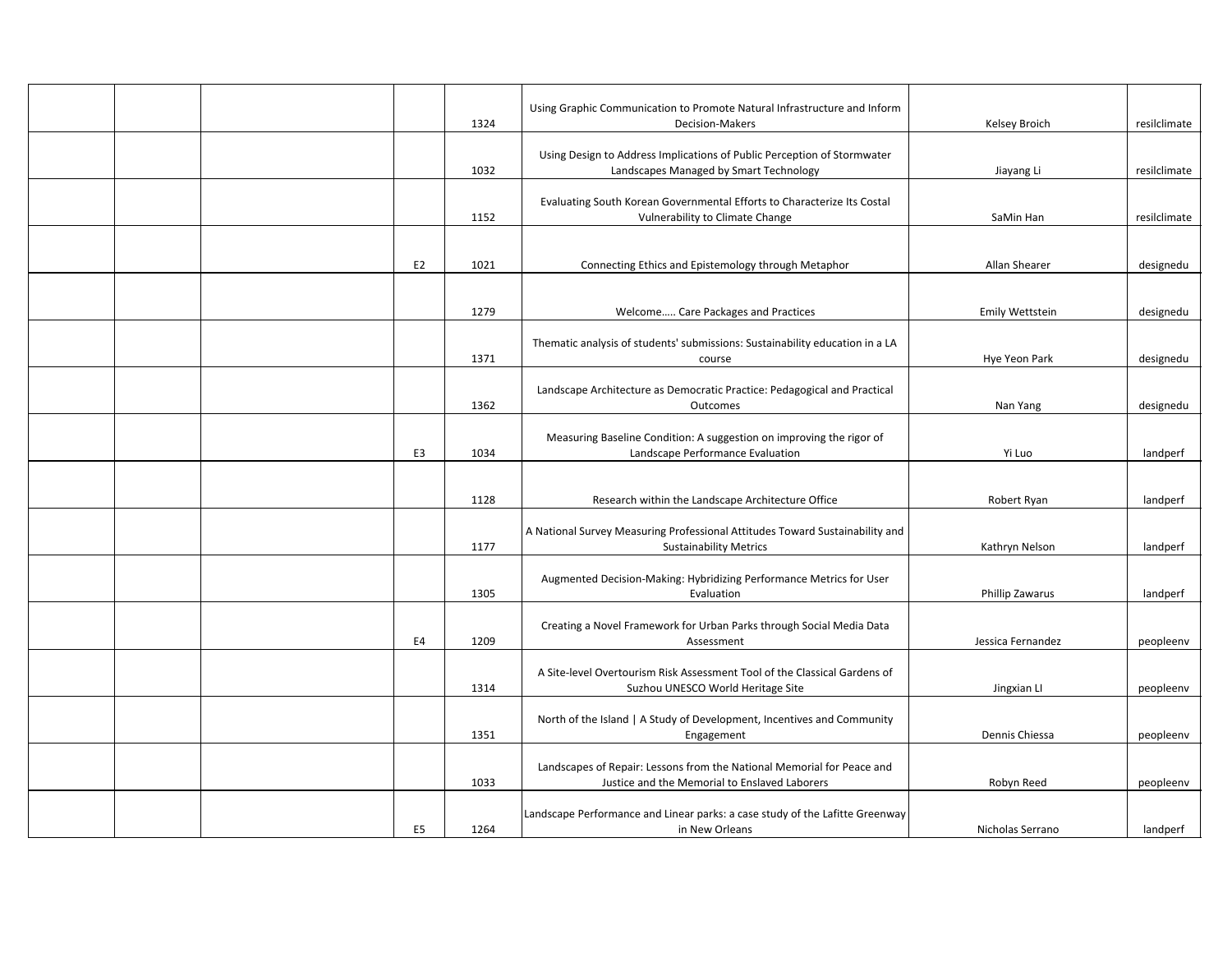|  |                | 1324 | Using Graphic Communication to Promote Natural Infrastructure and Inform<br>Decision-Makers                             | Kelsey Broich     | resilclimate |
|--|----------------|------|-------------------------------------------------------------------------------------------------------------------------|-------------------|--------------|
|  |                | 1032 | Using Design to Address Implications of Public Perception of Stormwater<br>Landscapes Managed by Smart Technology       | Jiayang Li        | resilclimate |
|  |                |      | Evaluating South Korean Governmental Efforts to Characterize Its Costal                                                 |                   |              |
|  |                | 1152 | Vulnerability to Climate Change                                                                                         | SaMin Han         | resilclimate |
|  | E2             | 1021 | Connecting Ethics and Epistemology through Metaphor                                                                     | Allan Shearer     | designedu    |
|  |                |      |                                                                                                                         |                   |              |
|  |                | 1279 | Welcome Care Packages and Practices                                                                                     | Emily Wettstein   | designedu    |
|  |                | 1371 | Thematic analysis of students' submissions: Sustainability education in a LA<br>course                                  | Hye Yeon Park     | designedu    |
|  |                |      |                                                                                                                         |                   |              |
|  |                | 1362 | Landscape Architecture as Democratic Practice: Pedagogical and Practical<br>Outcomes                                    | Nan Yang          | designedu    |
|  | E3             | 1034 | Measuring Baseline Condition: A suggestion on improving the rigor of<br>Landscape Performance Evaluation                | Yi Luo            | landperf     |
|  |                |      |                                                                                                                         |                   |              |
|  |                | 1128 | Research within the Landscape Architecture Office                                                                       | Robert Ryan       | landperf     |
|  |                |      | A National Survey Measuring Professional Attitudes Toward Sustainability and                                            |                   |              |
|  |                | 1177 | <b>Sustainability Metrics</b>                                                                                           | Kathryn Nelson    | landperf     |
|  |                | 1305 | Augmented Decision-Making: Hybridizing Performance Metrics for User<br>Evaluation                                       | Phillip Zawarus   | landperf     |
|  |                |      |                                                                                                                         |                   |              |
|  | E4             | 1209 | Creating a Novel Framework for Urban Parks through Social Media Data<br>Assessment                                      | Jessica Fernandez | peopleenv    |
|  |                | 1314 | A Site-level Overtourism Risk Assessment Tool of the Classical Gardens of<br>Suzhou UNESCO World Heritage Site          | Jingxian LI       | peopleenv    |
|  |                |      |                                                                                                                         |                   |              |
|  |                | 1351 | North of the Island   A Study of Development, Incentives and Community<br>Engagement                                    | Dennis Chiessa    | peopleenv    |
|  |                | 1033 | Landscapes of Repair: Lessons from the National Memorial for Peace and<br>Justice and the Memorial to Enslaved Laborers | Robyn Reed        | peopleenv    |
|  | E <sub>5</sub> | 1264 | Landscape Performance and Linear parks: a case study of the Lafitte Greenway<br>in New Orleans                          | Nicholas Serrano  | landperf     |